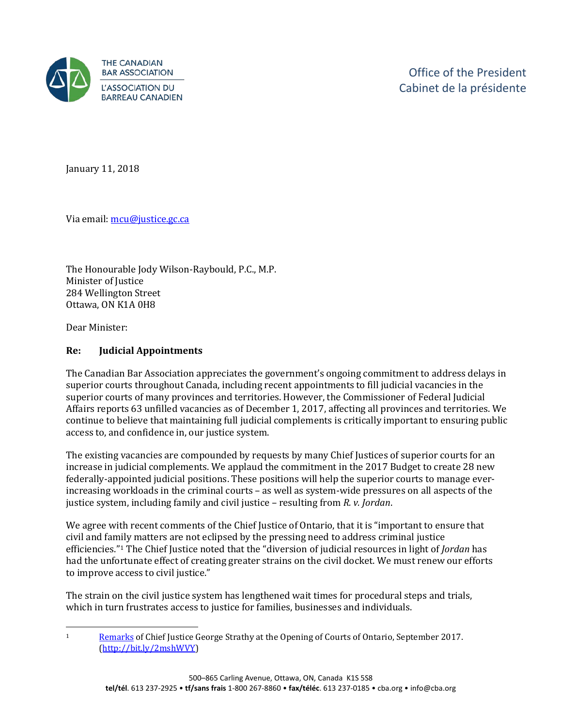

January 11, 2018

Via email[: mcu@justice.gc.ca](mailto:mcu@justice.gc.ca) 

The Honourable Jody Wilson-Raybould, P.C., M.P. Minister of Justice 284 Wellington Street Ottawa, ON K1A 0H8

Dear Minister:

## **Re: Judicial Appointments**

The Canadian Bar Association appreciates the government's ongoing commitment to address delays in superior courts throughout Canada, including recent appointments to fill judicial vacancies in the superior courts of many provinces and territories. However, the Commissioner of Federal Judicial Affairs reports 63 unfilled vacancies as of December 1, 2017, affecting all provinces and territories. We continue to believe that maintaining full judicial complements is critically important to ensuring public access to, and confidence in, our justice system.

The existing vacancies are compounded by requests by many Chief Justices of superior courts for an increase in judicial complements. We applaud the commitment in the 2017 Budget to create 28 new federally-appointed judicial positions. These positions will help the superior courts to manage everincreasing workloads in the criminal courts – as well as system-wide pressures on all aspects of the justice system, including family and civil justice – resulting from *R. v. Jordan*.

We agree with recent comments of the Chief Justice of Ontario, that it is "important to ensure that civil and family matters are not eclipsed by the pressing need to address criminal justice efficiencies."[1](#page-0-0) The Chief Justice noted that the "diversion of judicial resources in light of *Jordan* has had the unfortunate effect of creating greater strains on the civil docket. We must renew our efforts to improve access to civil justice."

The strain on the civil justice system has lengthened wait times for procedural steps and trials, which in turn frustrates access to justice for families, businesses and individuals.

<span id="page-0-0"></span> $\mathbf{1}$ <sup>1</sup> [Remarks](http://www.ontariocourts.ca/coa/en/ps/ocs/ocs.htm) of Chief Justice George Strathy at the Opening of Courts of Ontario, September 2017. [\(http://bit.ly/2mshWVY\)](http://bit.ly/2mshWVY)